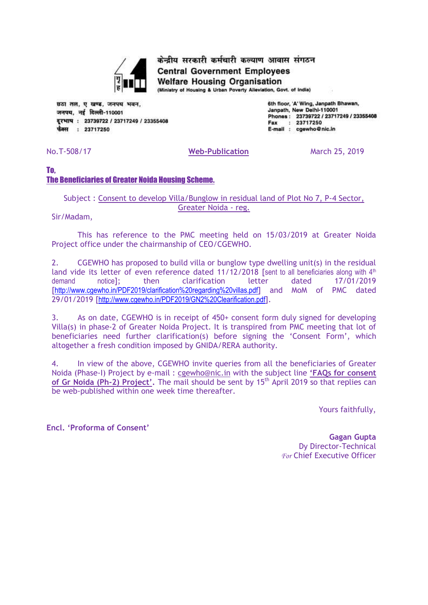

दरभाष: 23739722 / 23717249 / 23355408

**Welfare Housing Organisation** (Ministry of Housing & Urban Poverty Alleviation, Govt. of India) छठा तल, ए खण्ड, जनपथ भवन, जनपथ, नई दिल्ली-110001

6th floor, 'A' Wing, Janpath Bhawan, Janpath, New Delhi-110001 Phones: 23739722 / 23717249 / 23355408  $: 23717250$ Fax E-mail : cgewho@nic.in

फैक्स : 23717250

No.T-508/17 **Web-Publication** March 25, 2019

केन्द्रीय सरकारी कर्मचारी कल्याण आवास संगठन

**Central Government Employees** 

## To, The Beneficiaries of Greater Noida Housing Scheme.

Subject : Consent to develop Villa/Bunglow in residual land of Plot No 7, P-4 Sector, Greater Noida - reg.

Sir/Madam,

This has reference to the PMC meeting held on 15/03/2019 at Greater Noida Project office under the chairmanship of CEO/CGEWHO.

2. CGEWHO has proposed to build villa or bunglow type dwelling unit(s) in the residual land vide its letter of even reference dated  $11/12/2018$  [sent to all beneficiaries along with  $4<sup>th</sup>$ demand notice]; then clarification letter dated 17/01/2019 [<http://www.cgewho.in/PDF2019/clarification%20regarding%20villas.pdf>] and MoM of PMC dated 29/01/2019 [<http://www.cgewho.in/PDF2019/GN2%20Clearification.pdf>].

3. As on date, CGEWHO is in receipt of 450+ consent form duly signed for developing Villa(s) in phase-2 of Greater Noida Project. It is transpired from PMC meeting that lot of beneficiaries need further clarification(s) before signing the 'Consent Form', which altogether a fresh condition imposed by GNIDA/RERA authority.

4. In view of the above, CGEWHO invite queries from all the beneficiaries of Greater Noida (Phase-I) Project by e-mail : [cgewho@nic.in](mailto:cgewho@nic.in) with the subject line **'FAQs for consent of Gr Noida (Ph-2) Project'.** The mail should be sent by 15th April 2019 so that replies can be web-published within one week time thereafter.

Yours faithfully,

**Encl. 'Proforma of Consent'**

**Gagan Gupta** Dy Director-Technical *For* Chief Executive Officer